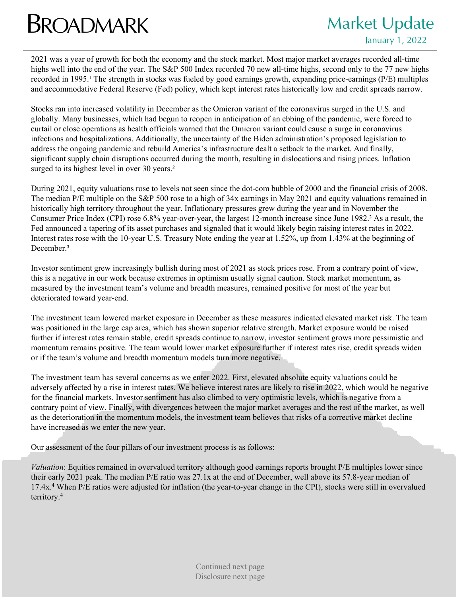## **BROADMARK** Market Update

## January 1, 2022

2021 was a year of growth for both the economy and the stock market. Most major market averages recorded all-time highs well into the end of the year. The S&P 500 Index recorded 70 new all-time highs, second only to the 77 new highs recorded in 1995.<sup>1</sup> The strength in stocks was fueled by good earnings growth, expanding price-earnings (P/E) multiples and accommodative Federal Reserve (Fed) policy, which kept interest rates historically low and credit spreads narrow.

Stocks ran into increased volatility in December as the Omicron variant of the coronavirus surged in the U.S. and globally. Many businesses, which had begun to reopen in anticipation of an ebbing of the pandemic, were forced to curtail or close operations as health officials warned that the Omicron variant could cause a surge in coronavirus infections and hospitalizations. Additionally, the uncertainty of the Biden administration's proposed legislation to address the ongoing pandemic and rebuild America's infrastructure dealt a setback to the market. And finally, significant supply chain disruptions occurred during the month, resulting in dislocations and rising prices. Inflation surged to its highest level in over 30 years.<sup>2</sup>

During 2021, equity valuations rose to levels not seen since the dot-com bubble of 2000 and the financial crisis of 2008. The median P/E multiple on the S&P 500 rose to a high of 34x earnings in May 2021 and equity valuations remained in historically high territory throughout the year. Inflationary pressures grew during the year and in November the Consumer Price Index (CPI) rose 6.8% year-over-year, the largest 12-month increase since June 1982.² As a result, the Fed announced a tapering of its asset purchases and signaled that it would likely begin raising interest rates in 2022. Interest rates rose with the 10-year U.S. Treasury Note ending the year at 1.52%, up from 1.43% at the beginning of December.<sup>3</sup>

Investor sentiment grew increasingly bullish during most of 2021 as stock prices rose. From a contrary point of view, this is a negative in our work because extremes in optimism usually signal caution. Stock market momentum, as measured by the investment team's volume and breadth measures, remained positive for most of the year but deteriorated toward year-end.

The investment team lowered market exposure in December as these measures indicated elevated market risk. The team was positioned in the large cap area, which has shown superior relative strength. Market exposure would be raised further if interest rates remain stable, credit spreads continue to narrow, investor sentiment grows more pessimistic and momentum remains positive. The team would lower market exposure further if interest rates rise, credit spreads widen or if the team's volume and breadth momentum models turn more negative.

The investment team has several concerns as we enter 2022. First, elevated absolute equity valuations could be adversely affected by a rise in interest rates. We believe interest rates are likely to rise in 2022, which would be negative for the financial markets. Investor sentiment has also climbed to very optimistic levels, which is negative from a contrary point of view. Finally, with divergences between the major market averages and the rest of the market, as well as the deterioration in the momentum models, the investment team believes that risks of a corrective market decline have increased as we enter the new year.

Our assessment of the four pillars of our investment process is as follows:

*Valuation*: Equities remained in overvalued territory although good earnings reports brought P/E multiples lower since their early 2021 peak. The median P/E ratio was 27.1x at the end of December, well above its 57.8-year median of 17.4x.4 When P/E ratios were adjusted for inflation (the year-to-year change in the CPI), stocks were still in overvalued territory.4